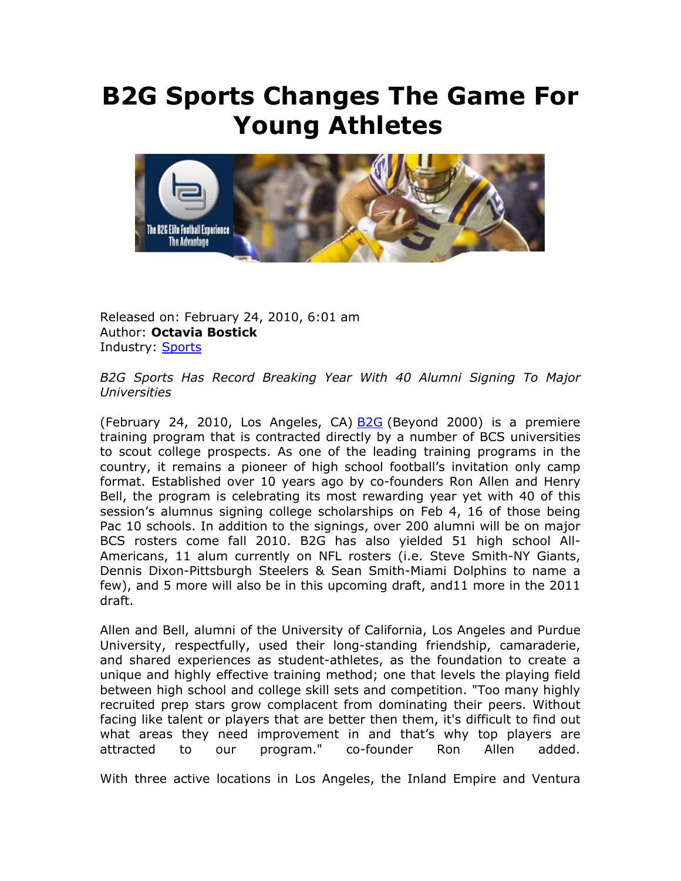## **B2G Sports Changes The Game For Young Athletes**



Released on: February 24, 2010, 6:01 am Author: **Octavia Bostick**  Industry: **Sports** 

*B2G Sports Has Record Breaking Year With 40 Alumni Signing To Major Universities* 

(February 24, 2010, Los Angeles, CA) **B2G** (Beyond 2000) is a premiere training program that is contracted directly by a number of BCS universities to scout college prospects. As one of the leading training programs in the country, it remains a pioneer of high school football's invitation only camp format. Established over 10 years ago by co-founders Ron Allen and Henry Bell, the program is celebrating its most rewarding year yet with 40 of this session's alumnus signing college scholarships on Feb 4, 16 of those being Pac 10 schools. In addition to the signings, over 200 alumni will be on major BCS rosters come fall 2010. B2G has also yielded 51 high school All-Americans, 11 alum currently on NFL rosters (i.e. Steve Smith-NY Giants, Dennis Dixon-Pittsburgh Steelers & Sean Smith-Miami Dolphins to name a few), and 5 more will also be in this upcoming draft, and11 more in the 2011 draft.

Allen and Bell, alumni of the University of California, Los Angeles and Purdue University, respectfully, used their long-standing friendship, camaraderie, and shared experiences as student-athletes, as the foundation to create a unique and highly effective training method; one that levels the playing field between high school and college skill sets and competition. "Too many highly recruited prep stars grow complacent from dominating their peers. Without facing like talent or players that are better then them, it's difficult to find out what areas they need improvement in and that's why top players are attracted to our program." co-founder Ron Allen added.

With three active locations in Los Angeles, the Inland Empire and Ventura